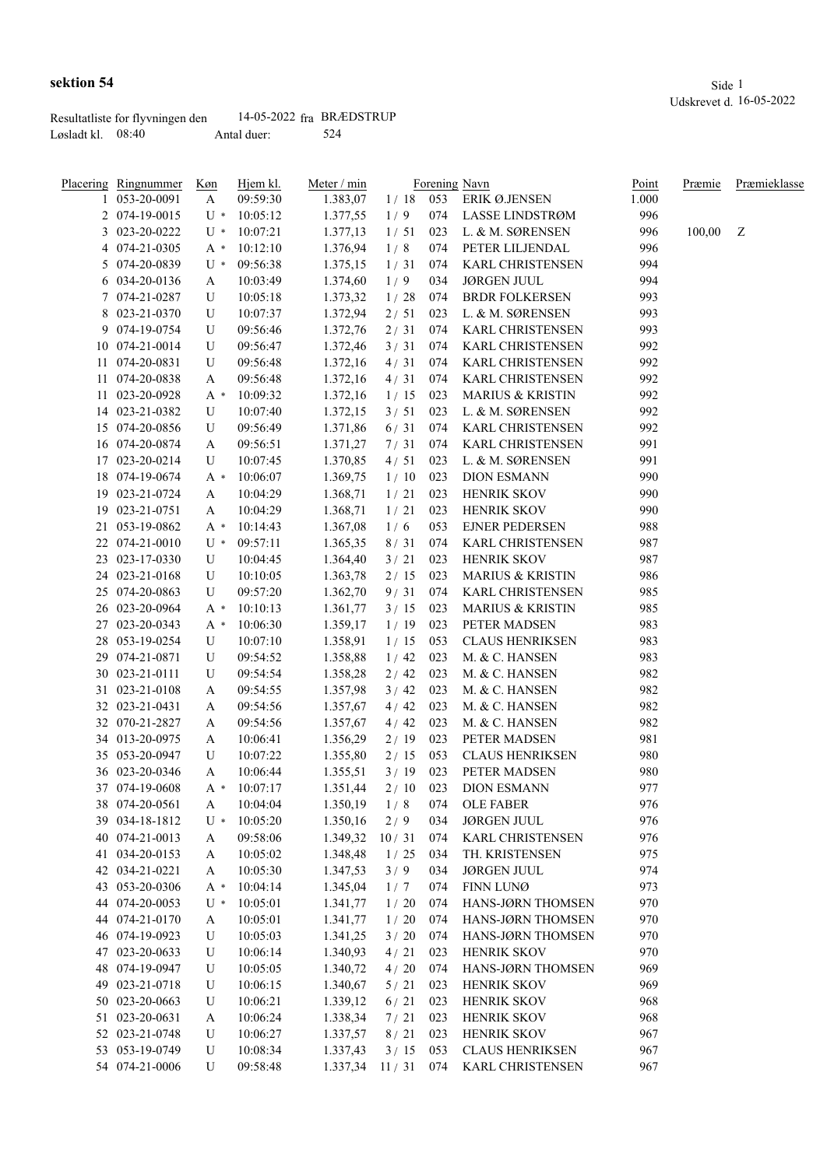Løsladt kl. 08:40 Antal duer: 524

|    | <b>Placering Ringnummer</b><br>053-20-0091 | Køn<br>A | Hjem kl.<br>09:59:30 | Meter / min<br>1.383,07 | 1/18  | 053 | Forening Navn<br>ERIK Ø.JENSEN | Point<br>1.000 | Præmie | Præmieklasse |
|----|--------------------------------------------|----------|----------------------|-------------------------|-------|-----|--------------------------------|----------------|--------|--------------|
|    | 2 074-19-0015                              | U *      | 10:05:12             | 1.377,55                | 1/9   | 074 | <b>LASSE LINDSTRØM</b>         | 996            |        |              |
|    | 3 023-20-0222                              | U *      | 10:07:21             | 1.377,13                | 1/51  | 023 | L. & M. SØRENSEN               | 996            | 100,00 | Z            |
|    | 4 074-21-0305                              | A *      | 10:12:10             | 1.376,94                | 1/8   | 074 | PETER LILJENDAL                | 996            |        |              |
|    | 5 074-20-0839                              | U *      | 09:56:38             | 1.375,15                | 1/31  | 074 | <b>KARL CHRISTENSEN</b>        | 994            |        |              |
|    | 6 034-20-0136                              | A        | 10:03:49             | 1.374,60                | 1/9   | 034 | <b>JØRGEN JUUL</b>             | 994            |        |              |
| 7. | 074-21-0287                                | U        | 10:05:18             | 1.373,32                | 1/28  | 074 | <b>BRDR FOLKERSEN</b>          | 993            |        |              |
|    | 8 023-21-0370                              | U        | 10:07:37             | 1.372,94                | 2/51  | 023 | L. & M. SØRENSEN               | 993            |        |              |
|    |                                            |          |                      |                         |       |     |                                |                |        |              |
|    | 9 074-19-0754                              | U        | 09:56:46             | 1.372,76                | 2/31  | 074 | <b>KARL CHRISTENSEN</b>        | 993            |        |              |
|    | 10 074-21-0014                             | U        | 09:56:47             | 1.372,46                | 3/31  | 074 | <b>KARL CHRISTENSEN</b>        | 992            |        |              |
| 11 | 074-20-0831                                | U        | 09:56:48             | 1.372,16                | 4/31  | 074 | KARL CHRISTENSEN               | 992            |        |              |
| 11 | 074-20-0838                                | A        | 09:56:48             | 1.372,16                | 4/31  | 074 | KARL CHRISTENSEN               | 992            |        |              |
| 11 | 023-20-0928                                | A *      | 10:09:32             | 1.372,16                | 1/15  | 023 | <b>MARIUS &amp; KRISTIN</b>    | 992            |        |              |
|    | 14 023-21-0382                             | U        | 10:07:40             | 1.372,15                | 3/51  | 023 | L. & M. SØRENSEN               | 992            |        |              |
| 15 | 074-20-0856                                | U        | 09:56:49             | 1.371,86                | 6/31  | 074 | KARL CHRISTENSEN               | 992            |        |              |
|    | 16 074-20-0874                             | A        | 09:56:51             | 1.371,27                | 7/31  | 074 | KARL CHRISTENSEN               | 991            |        |              |
| 17 | 023-20-0214                                | U        | 10:07:45             | 1.370,85                | 4/51  | 023 | L. & M. SØRENSEN               | 991            |        |              |
| 18 | 074-19-0674                                | A *      | 10:06:07             | 1.369,75                | 1/10  | 023 | <b>DION ESMANN</b>             | 990            |        |              |
| 19 | 023-21-0724                                | A        | 10:04:29             | 1.368,71                | 1/21  | 023 | <b>HENRIK SKOV</b>             | 990            |        |              |
| 19 | 023-21-0751                                | A        | 10:04:29             | 1.368,71                | 1/21  | 023 | <b>HENRIK SKOV</b>             | 990            |        |              |
| 21 | 053-19-0862                                | A *      | 10:14:43             | 1.367,08                | 1/6   | 053 | <b>EJNER PEDERSEN</b>          | 988            |        |              |
| 22 | 074-21-0010                                | U *      | 09:57:11             | 1.365,35                | 8/31  | 074 | <b>KARL CHRISTENSEN</b>        | 987            |        |              |
| 23 | 023-17-0330                                | U        | 10:04:45             | 1.364,40                | 3/21  | 023 | <b>HENRIK SKOV</b>             | 987            |        |              |
| 24 | 023-21-0168                                | U        | 10:10:05             | 1.363,78                | 2/15  | 023 | <b>MARIUS &amp; KRISTIN</b>    | 986            |        |              |
| 25 | 074-20-0863                                | U        | 09:57:20             | 1.362,70                | 9/31  | 074 | KARL CHRISTENSEN               | 985            |        |              |
|    | 26 023-20-0964                             | A *      | 10:10:13             | 1.361,77                | 3/15  | 023 | <b>MARIUS &amp; KRISTIN</b>    | 985            |        |              |
| 27 | 023-20-0343                                | A *      | 10:06:30             | 1.359,17                | 1/19  | 023 | PETER MADSEN                   | 983            |        |              |
| 28 | 053-19-0254                                | U        | 10:07:10             | 1.358,91                | 1/15  | 053 | <b>CLAUS HENRIKSEN</b>         | 983            |        |              |
| 29 | 074-21-0871                                | U        | 09:54:52             | 1.358,88                | 1/42  | 023 | M. & C. HANSEN                 | 983            |        |              |
| 30 | 023-21-0111                                | U        | 09:54:54             | 1.358,28                | 2/42  | 023 | M. & C. HANSEN                 | 982            |        |              |
| 31 | 023-21-0108                                | A        | 09:54:55             | 1.357,98                | 3/42  | 023 | M. & C. HANSEN                 | 982            |        |              |
|    | 32 023-21-0431                             |          | 09:54:56             | 1.357,67                | 4/42  | 023 | M. & C. HANSEN                 | 982            |        |              |
|    |                                            | A        |                      |                         | 4/42  |     | M. & C. HANSEN                 |                |        |              |
|    | 32 070-21-2827                             | A        | 09:54:56             | 1.357,67                |       | 023 |                                | 982            |        |              |
|    | 34 013-20-0975                             | A        | 10:06:41             | 1.356,29                | 2/19  | 023 | PETER MADSEN                   | 981            |        |              |
|    | 35 053-20-0947                             | U        | 10:07:22             | 1.355,80                | 2/15  | 053 | <b>CLAUS HENRIKSEN</b>         | 980            |        |              |
|    | 36 023-20-0346                             | A        | 10:06:44             | 1.355,51                | 3/19  | 023 | PETER MADSEN                   | 980            |        |              |
|    | 37 074-19-0608                             | $A^*$    | 10:07:17             | 1.351,44                | 2/10  | 023 | <b>DION ESMANN</b>             | 977            |        |              |
|    | 38 074-20-0561                             | A        | 10:04:04             | 1.350,19                | 1/8   | 074 | <b>OLE FABER</b>               | 976            |        |              |
|    | 39 034-18-1812                             | U *      | 10:05:20             | 1.350,16                | 2/9   | 034 | <b>JØRGEN JUUL</b>             | 976            |        |              |
|    | 40 074-21-0013                             | A        | 09:58:06             | 1.349,32                | 10/31 | 074 | KARL CHRISTENSEN               | 976            |        |              |
|    | 41 034-20-0153                             | A        | 10:05:02             | 1.348,48                | 1/25  | 034 | TH. KRISTENSEN                 | 975            |        |              |
|    | 42 034-21-0221                             | A        | 10:05:30             | 1.347,53                | 3/9   | 034 | <b>JØRGEN JUUL</b>             | 974            |        |              |
|    | 43 053-20-0306                             | A *      | 10:04:14             | 1.345,04                | 1/7   | 074 | FINN LUNØ                      | 973            |        |              |
|    | 44 074-20-0053                             | U *      | 10:05:01             | 1.341,77                | 1/20  | 074 | HANS-JØRN THOMSEN              | 970            |        |              |
|    | 44 074-21-0170                             | A        | 10:05:01             | 1.341,77                | 1/20  | 074 | HANS-JØRN THOMSEN              | 970            |        |              |
|    | 46 074-19-0923                             | U        | 10:05:03             | 1.341,25                | 3/20  | 074 | HANS-JØRN THOMSEN              | 970            |        |              |
|    | 47 023-20-0633                             | U        | 10:06:14             | 1.340,93                | 4/21  | 023 | HENRIK SKOV                    | 970            |        |              |
|    | 48 074-19-0947                             | U        | 10:05:05             | 1.340,72                | 4/20  | 074 | HANS-JØRN THOMSEN              | 969            |        |              |
|    | 49 023-21-0718                             | U        | 10:06:15             | 1.340,67                | 5/21  | 023 | <b>HENRIK SKOV</b>             | 969            |        |              |
|    | 50 023-20-0663                             | U        | 10:06:21             | 1.339,12                | 6/21  | 023 | <b>HENRIK SKOV</b>             | 968            |        |              |
|    | 51 023-20-0631                             | A        | 10:06:24             | 1.338,34                | 7/21  | 023 | <b>HENRIK SKOV</b>             | 968            |        |              |
|    | 52 023-21-0748                             | U        | 10:06:27             | 1.337,57                | 8/21  | 023 | <b>HENRIK SKOV</b>             | 967            |        |              |
|    | 53 053-19-0749                             | U        | 10:08:34             | 1.337,43                | 3/15  | 053 | <b>CLAUS HENRIKSEN</b>         | 967            |        |              |
|    | 54 074-21-0006                             | U        | 09:58:48             | 1.337,34 11 / 31 074    |       |     | KARL CHRISTENSEN               | 967            |        |              |
|    |                                            |          |                      |                         |       |     |                                |                |        |              |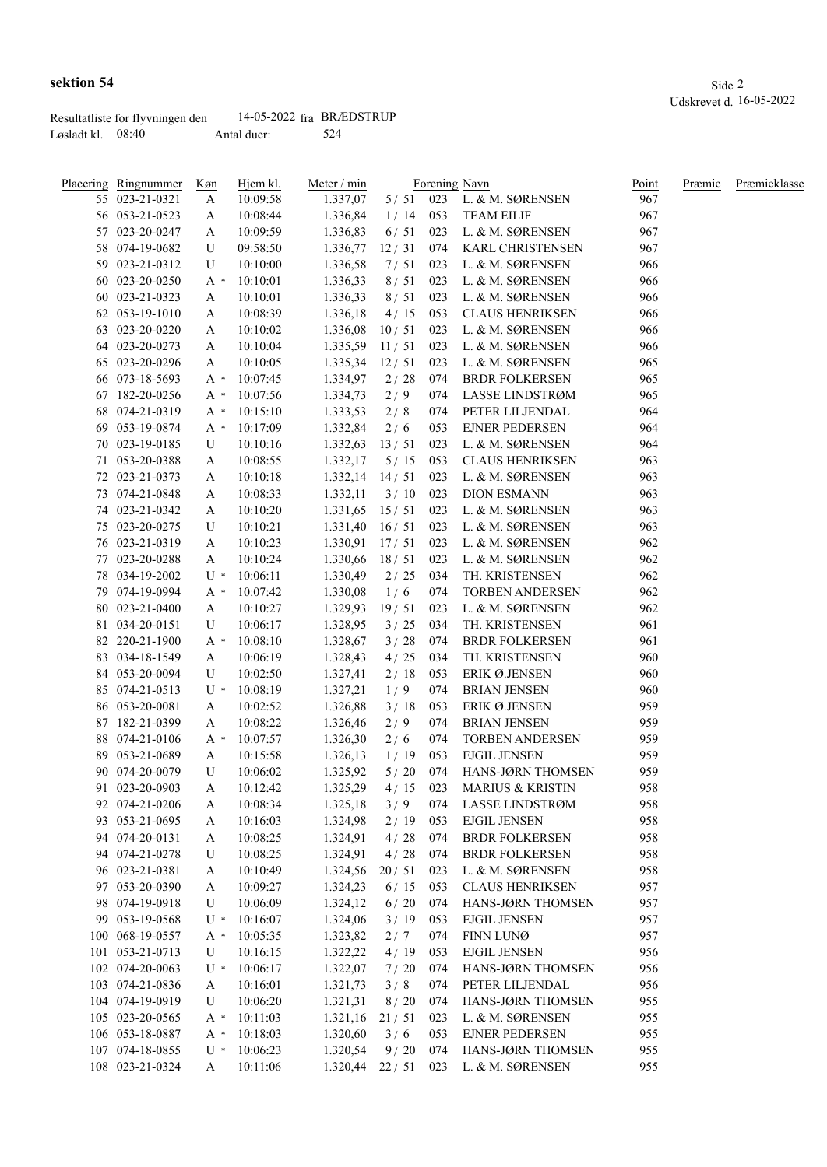|                     | Resultatliste for flyvningen den | 14-05-2022 fra BRÆDSTRUP |     |
|---------------------|----------------------------------|--------------------------|-----|
| Løsladt kl. $08:40$ |                                  | Antal duer:              | 524 |

|     | Placering Ringnummer | Køn   | Hjem kl. | Meter / min      | Forening Navn |     |                             | Point | Præmie | Præmieklasse |
|-----|----------------------|-------|----------|------------------|---------------|-----|-----------------------------|-------|--------|--------------|
|     | 55 023-21-0321       | A     | 10:09:58 | 1.337,07         | 5/51          |     | 023 L. & M. SØRENSEN        | 967   |        |              |
|     | 56 053-21-0523       | A     | 10:08:44 | 1.336,84         | 1/14          | 053 | <b>TEAM EILIF</b>           | 967   |        |              |
|     | 57 023-20-0247       | A     | 10:09:59 | 1.336,83         | 6/51          | 023 | L. & M. SØRENSEN            | 967   |        |              |
|     | 58 074-19-0682       | U     | 09:58:50 | 1.336,77         | 12/31         |     | 074 KARL CHRISTENSEN        | 967   |        |              |
|     | 59 023-21-0312       | U     | 10:10:00 | 1.336,58         | 7/51          | 023 | L. & M. SØRENSEN            | 966   |        |              |
|     | 60 023-20-0250       | A *   | 10:10:01 | 1.336,33         | 8/51          | 023 | L. & M. SØRENSEN            | 966   |        |              |
|     | 60 023-21-0323       | A     | 10:10:01 | 1.336,33         | 8/51          | 023 | L. & M. SØRENSEN            | 966   |        |              |
|     | 62 053-19-1010       | A     | 10:08:39 | 1.336,18         | 4/15          | 053 | <b>CLAUS HENRIKSEN</b>      | 966   |        |              |
|     | 63 023-20-0220       | A     | 10:10:02 | 1.336,08         | 10/51         | 023 | L. & M. SØRENSEN            | 966   |        |              |
|     | 64 023-20-0273       | A     | 10:10:04 | 1.335,59         | 11/51         | 023 | L. & M. SØRENSEN            | 966   |        |              |
|     | 65 023-20-0296       | A     | 10:10:05 | 1.335,34         | 12/51         | 023 | L. & M. SØRENSEN            | 965   |        |              |
|     | 66 073-18-5693       | A *   | 10:07:45 | 1.334,97         | 2/28          | 074 | <b>BRDR FOLKERSEN</b>       | 965   |        |              |
|     | 67 182-20-0256       | А *   | 10:07:56 | 1.334,73         | 2/9           | 074 | LASSE LINDSTRØM             | 965   |        |              |
| 68  | 074-21-0319          | А *   | 10:15:10 | 1.333,53         | 2/8           | 074 | PETER LILJENDAL             | 964   |        |              |
| 69. | 053-19-0874          | $A^*$ | 10:17:09 | 1.332,84         | 2/6           | 053 | <b>EJNER PEDERSEN</b>       | 964   |        |              |
|     | 70 023-19-0185       | U     | 10:10:16 | 1.332,63         | 13/51         | 023 | L. & M. SØRENSEN            | 964   |        |              |
|     | 71 053-20-0388       |       |          |                  |               | 053 | <b>CLAUS HENRIKSEN</b>      | 963   |        |              |
|     |                      | A     | 10:08:55 | 1.332,17         | 5/15          |     | L. & M. SØRENSEN            |       |        |              |
|     | 72 023-21-0373       | A     | 10:10:18 | 1.332,14         | 14/51         | 023 |                             | 963   |        |              |
|     | 73 074-21-0848       | A     | 10:08:33 | 1.332,11         | 3/10          | 023 | <b>DION ESMANN</b>          | 963   |        |              |
|     | 74 023-21-0342       | A     | 10:10:20 | 1.331,65         | 15/51         | 023 | L. & M. SØRENSEN            | 963   |        |              |
|     | 75 023-20-0275       | U     | 10:10:21 | 1.331,40         | 16/51         | 023 | L. & M. SØRENSEN            | 963   |        |              |
|     | 76 023-21-0319       | A     | 10:10:23 | $1.330,91$ 17/51 |               | 023 | L. & M. SØRENSEN            | 962   |        |              |
|     | 77 023-20-0288       | A     | 10:10:24 | 1.330,66         | 18/51         | 023 | L. & M. SØRENSEN            | 962   |        |              |
|     | 78 034-19-2002       | $U^*$ | 10:06:11 | 1.330,49         | 2/25          | 034 | TH. KRISTENSEN              | 962   |        |              |
|     | 79 074-19-0994       | $A^*$ | 10:07:42 | 1.330,08         | 1/6           | 074 | TORBEN ANDERSEN             | 962   |        |              |
|     | 80 023-21-0400       | A     | 10:10:27 | 1.329,93         | 19/51         | 023 | L. & M. SØRENSEN            | 962   |        |              |
|     | 81 034-20-0151       | U     | 10:06:17 | 1.328,95         | 3/25          | 034 | TH. KRISTENSEN              | 961   |        |              |
|     | 82 220-21-1900       | $A^*$ | 10:08:10 | 1.328,67         | 3/28          | 074 | <b>BRDR FOLKERSEN</b>       | 961   |        |              |
|     | 83 034-18-1549       | A     | 10:06:19 | 1.328,43         | 4/25          | 034 | TH. KRISTENSEN              | 960   |        |              |
|     | 84 053-20-0094       | U     | 10:02:50 | 1.327,41         | 2/18          | 053 | ERIK Ø.JENSEN               | 960   |        |              |
|     | 85 074-21-0513       | $U^*$ | 10:08:19 | 1.327,21         | 1/9           | 074 | <b>BRIAN JENSEN</b>         | 960   |        |              |
|     | 86 053-20-0081       | A     | 10:02:52 | 1.326,88         | 3/18          | 053 | ERIK Ø.JENSEN               | 959   |        |              |
|     | 87 182-21-0399       | A     | 10:08:22 | 1.326,46         | 2/9           | 074 | <b>BRIAN JENSEN</b>         | 959   |        |              |
|     | 88 074-21-0106       | $A^*$ | 10:07:57 | 1.326,30         | 2/6           | 074 | <b>TORBEN ANDERSEN</b>      | 959   |        |              |
|     | 89 053-21-0689       | A     | 10:15:58 | 1.326,13         | 1/19          | 053 | <b>EJGIL JENSEN</b>         | 959   |        |              |
|     | 90 074-20-0079       | U     | 10:06:02 | 1.325,92         | 5/20          | 074 | HANS-JØRN THOMSEN           | 959   |        |              |
|     | 91 023-20-0903       | A     | 10:12:42 | 1.325,29         | $4/15$ 023    |     | <b>MARIUS &amp; KRISTIN</b> | 958   |        |              |
|     | 92 074-21-0206       | A     | 10:08:34 | 1.325,18         | 3/9           | 074 | LASSE LINDSTRØM             | 958   |        |              |
|     | 93 053-21-0695       | A     | 10:16:03 | 1.324,98         | 2/19          | 053 | <b>EJGIL JENSEN</b>         | 958   |        |              |
|     | 94 074-20-0131       | A     | 10:08:25 | 1.324,91         | 4/28          | 074 | <b>BRDR FOLKERSEN</b>       | 958   |        |              |
|     | 94 074-21-0278       | U     | 10:08:25 | 1.324,91         | 4/28          | 074 | <b>BRDR FOLKERSEN</b>       | 958   |        |              |
|     | 96 023-21-0381       | A     | 10:10:49 | 1.324,56         | 20/51         | 023 | L. & M. SØRENSEN            | 958   |        |              |
|     | 97 053-20-0390       | A     | 10:09:27 | 1.324,23         | 6/15          | 053 | <b>CLAUS HENRIKSEN</b>      | 957   |        |              |
|     | 98 074-19-0918       | U     | 10:06:09 | 1.324,12         | $6/20$        | 074 | HANS-JØRN THOMSEN           | 957   |        |              |
|     | 99 053-19-0568       | $U^*$ | 10:16:07 | 1.324,06         | 3/19          | 053 | <b>EJGIL JENSEN</b>         | 957   |        |              |
|     | 100 068-19-0557      | $A^*$ | 10:05:35 | 1.323,82         | 2/7           | 074 | FINN LUNØ                   | 957   |        |              |
|     | 101 053-21-0713      | U     | 10:16:15 | 1.322,22         | 4/19          | 053 | <b>EJGIL JENSEN</b>         | 956   |        |              |
|     | 102 074-20-0063      | $U^*$ | 10:06:17 | 1.322,07         | 7/20          | 074 | HANS-JØRN THOMSEN           | 956   |        |              |
|     | 103 074-21-0836      | A     | 10:16:01 | 1.321,73         | 3/8           | 074 | PETER LILJENDAL             | 956   |        |              |
|     | 104 074-19-0919      | U     | 10:06:20 | 1.321,31         | 8/20          | 074 | HANS-JØRN THOMSEN           | 955   |        |              |
|     | 105 023-20-0565      | $A^*$ | 10:11:03 | 1.321,16         | 21/51         | 023 | L. & M. SØRENSEN            | 955   |        |              |
|     | 106 053-18-0887      |       | 10:18:03 | 1.320,60         | 3/6           | 053 | <b>EJNER PEDERSEN</b>       | 955   |        |              |
|     |                      | $A^*$ |          |                  |               |     |                             |       |        |              |
|     | 107 074-18-0855      | $U^*$ | 10:06:23 | 1.320,54         | 9/20          | 074 | HANS-JØRN THOMSEN           | 955   |        |              |
|     | 108 023-21-0324      | A     | 10:11:06 | 1.320,44         | 22/51         | 023 | L. & M. SØRENSEN            | 955   |        |              |